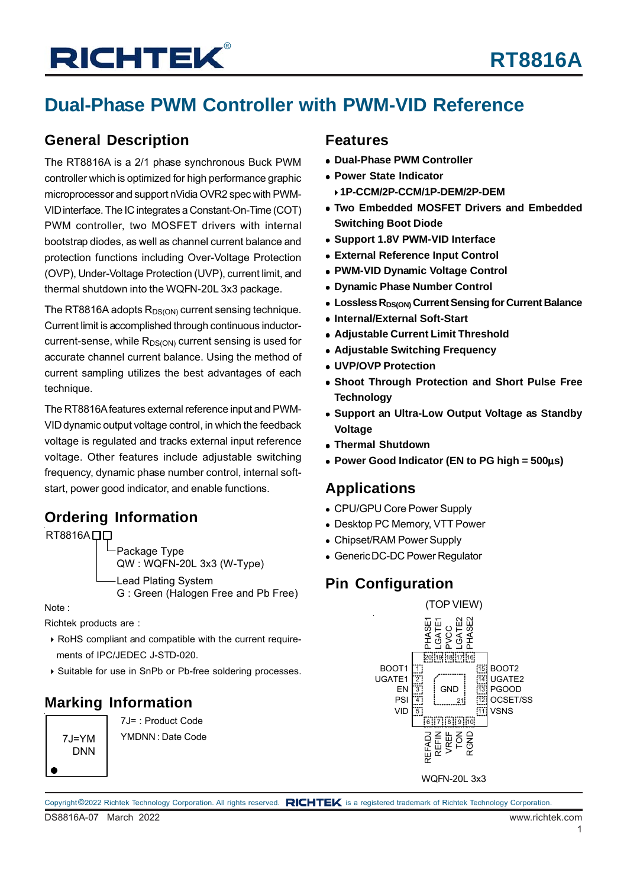## **Dual-Phase PWM Controller with PWM-VID Reference**

### **General Description**

The RT8816A is a 2/1 phase synchronous Buck PWM controller which is optimized for high performance graphic microprocessor and support nVidia OVR2 spec with PWM-VID interface. The IC integrates a Constant-On-Time (COT) PWM controller, two MOSFET drivers with internal bootstrap diodes, as well as channel current balance and protection functions including Over-Voltage Protection (OVP), Under-Voltage Protection (UVP), current limit, and thermal shutdown into the WQFN-20L 3x3 package.

The RT8816A adopts  $R_{DS(ON)}$  current sensing technique. Current limit is accomplished through continuous inductorcurrent-sense, while  $R_{DS(ON)}$  current sensing is used for accurate channel current balance. Using the method of current sampling utilizes the best advantages of each technique.

The RT8816A features external reference input and PWM-VID dynamic output voltage control, in which the feedback voltage is regulated and tracks external input reference voltage. Other features include adjustable switching frequency, dynamic phase number control, internal softstart, power good indicator, and enable functions.

### **Ordering Information**

RT8816A<sub>D</sub>

Package Type QW : WQFN-20L 3x3 (W-Type) Lead Plating System G : Green (Halogen Free and Pb Free)

Note :

Richtek products are :

- RoHS compliant and compatible with the current require ments of IPC/JEDEC J-STD-020.
- Suitable for use in SnPb or Pb-free soldering processes.

### **Marking Information**

 $7.I=YM$ DNN

7J= : Product Code YMDNN : Date Code

### **Features**

- **Dual-Phase PWM Controller**
- **Power State Indicator**
- **1P-CCM/2P-CCM/1P-DEM/2P-DEM**
- **Two Embedded MOSFET Drivers and Embedded Switching Boot Diode**
- **Support 1.8V PWM-VID Interface**
- **External Reference Input Control**
- **PWM-VID Dynamic Voltage Control**
- **Dynamic Phase Number Control**
- **Lossless R<sub>DS(ON)</sub> Current Sensing for Current Balance**
- **Internal/External Soft-Start**
- **Adjustable Current Limit Threshold**
- **Adjustable Switching Frequency**
- **UVP/OVP Protection**
- **Shoot Through Protection and Short Pulse Free Technology**
- **Support an Ultra-Low Output Voltage as Standby Voltage**
- **Thermal Shutdown**
- **Power Good Indicator (EN to PG high = 500**μ**s)**

### **Applications**

- CPU/GPU Core Power Supply
- Desktop PC Memory, VTT Power
- Chipset/RAM Power Supply
- Generic DC-DC Power Regulator

### **Pin Configuration**



WQFN-20L 3x3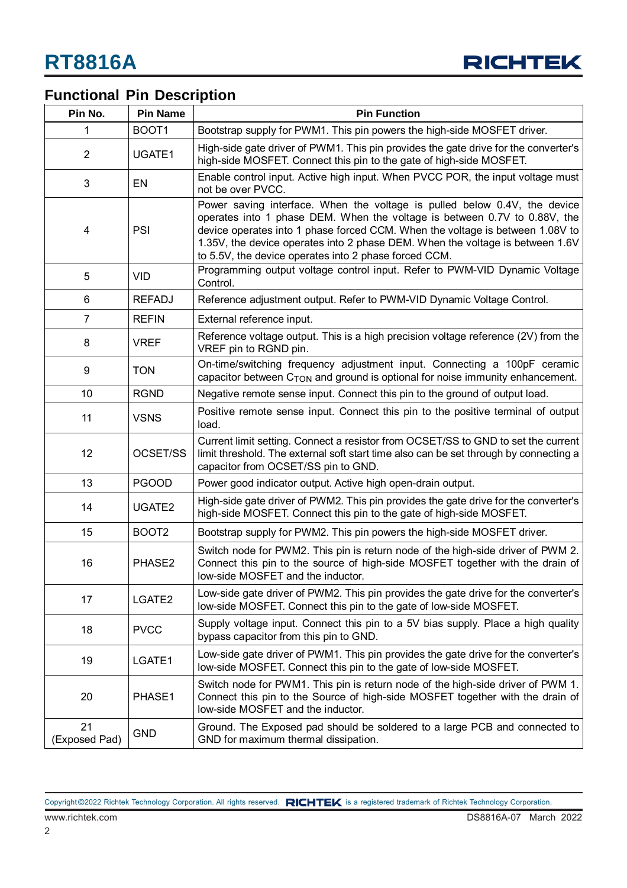

## **Functional Pin Description**

| Pin No.             | <b>Pin Name</b>   | <b>Pin Function</b>                                                                                                                                                                                                                                                                                                                                                               |  |  |
|---------------------|-------------------|-----------------------------------------------------------------------------------------------------------------------------------------------------------------------------------------------------------------------------------------------------------------------------------------------------------------------------------------------------------------------------------|--|--|
| 1                   | BOOT1             | Bootstrap supply for PWM1. This pin powers the high-side MOSFET driver.                                                                                                                                                                                                                                                                                                           |  |  |
| $\overline{2}$      | UGATE1            | High-side gate driver of PWM1. This pin provides the gate drive for the converter's<br>high-side MOSFET. Connect this pin to the gate of high-side MOSFET.                                                                                                                                                                                                                        |  |  |
| $\mathfrak{B}$      | EN                | Enable control input. Active high input. When PVCC POR, the input voltage must<br>not be over PVCC.                                                                                                                                                                                                                                                                               |  |  |
| 4                   | PSI               | Power saving interface. When the voltage is pulled below 0.4V, the device<br>operates into 1 phase DEM. When the voltage is between 0.7V to 0.88V, the<br>device operates into 1 phase forced CCM. When the voltage is between 1.08V to<br>1.35V, the device operates into 2 phase DEM. When the voltage is between 1.6V<br>to 5.5V, the device operates into 2 phase forced CCM. |  |  |
| 5                   | <b>VID</b>        | Programming output voltage control input. Refer to PWM-VID Dynamic Voltage<br>Control.                                                                                                                                                                                                                                                                                            |  |  |
| 6                   | <b>REFADJ</b>     | Reference adjustment output. Refer to PWM-VID Dynamic Voltage Control.                                                                                                                                                                                                                                                                                                            |  |  |
| $\overline{7}$      | <b>REFIN</b>      | External reference input.                                                                                                                                                                                                                                                                                                                                                         |  |  |
| 8                   | <b>VREF</b>       | Reference voltage output. This is a high precision voltage reference (2V) from the<br>VREF pin to RGND pin.                                                                                                                                                                                                                                                                       |  |  |
| 9                   | <b>TON</b>        | On-time/switching frequency adjustment input. Connecting a 100pF ceramic<br>capacitor between $C_{\text{TON}}$ and ground is optional for noise immunity enhancement.                                                                                                                                                                                                             |  |  |
| 10                  | <b>RGND</b>       | Negative remote sense input. Connect this pin to the ground of output load.                                                                                                                                                                                                                                                                                                       |  |  |
| 11                  | <b>VSNS</b>       | Positive remote sense input. Connect this pin to the positive terminal of output<br>load.                                                                                                                                                                                                                                                                                         |  |  |
| 12                  | OCSET/SS          | Current limit setting. Connect a resistor from OCSET/SS to GND to set the current<br>limit threshold. The external soft start time also can be set through by connecting a<br>capacitor from OCSET/SS pin to GND.                                                                                                                                                                 |  |  |
| 13                  | <b>PGOOD</b>      | Power good indicator output. Active high open-drain output.                                                                                                                                                                                                                                                                                                                       |  |  |
| 14                  | UGATE2            | High-side gate driver of PWM2. This pin provides the gate drive for the converter's<br>high-side MOSFET. Connect this pin to the gate of high-side MOSFET.                                                                                                                                                                                                                        |  |  |
| 15                  | BOOT <sub>2</sub> | Bootstrap supply for PWM2. This pin powers the high-side MOSFET driver.                                                                                                                                                                                                                                                                                                           |  |  |
| 16                  | PHASE2            | Switch node for PWM2. This pin is return node of the high-side driver of PWM 2.<br>Connect this pin to the source of high-side MOSFET together with the drain of<br>low-side MOSFET and the inductor.                                                                                                                                                                             |  |  |
| 17                  | LGATE2            | Low-side gate driver of PWM2. This pin provides the gate drive for the converter's<br>low-side MOSFET. Connect this pin to the gate of low-side MOSFET.                                                                                                                                                                                                                           |  |  |
| 18                  | <b>PVCC</b>       | Supply voltage input. Connect this pin to a 5V bias supply. Place a high quality<br>bypass capacitor from this pin to GND.                                                                                                                                                                                                                                                        |  |  |
| 19                  | LGATE1            | Low-side gate driver of PWM1. This pin provides the gate drive for the converter's<br>low-side MOSFET. Connect this pin to the gate of low-side MOSFET.                                                                                                                                                                                                                           |  |  |
| 20                  | PHASE1            | Switch node for PWM1. This pin is return node of the high-side driver of PWM 1.<br>Connect this pin to the Source of high-side MOSFET together with the drain of<br>low-side MOSFET and the inductor.                                                                                                                                                                             |  |  |
| 21<br>(Exposed Pad) | <b>GND</b>        | Ground. The Exposed pad should be soldered to a large PCB and connected to<br>GND for maximum thermal dissipation.                                                                                                                                                                                                                                                                |  |  |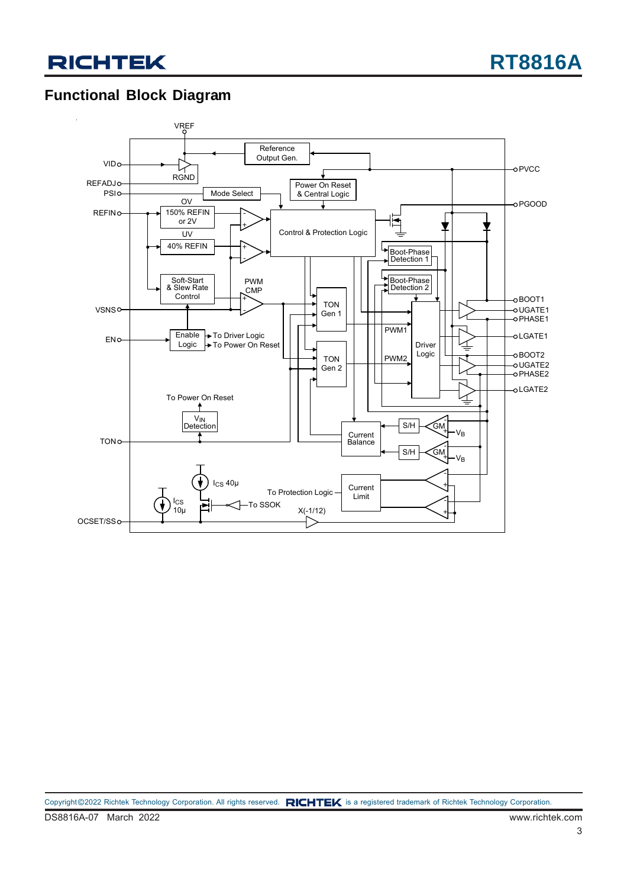### **Functional Block Diagram**

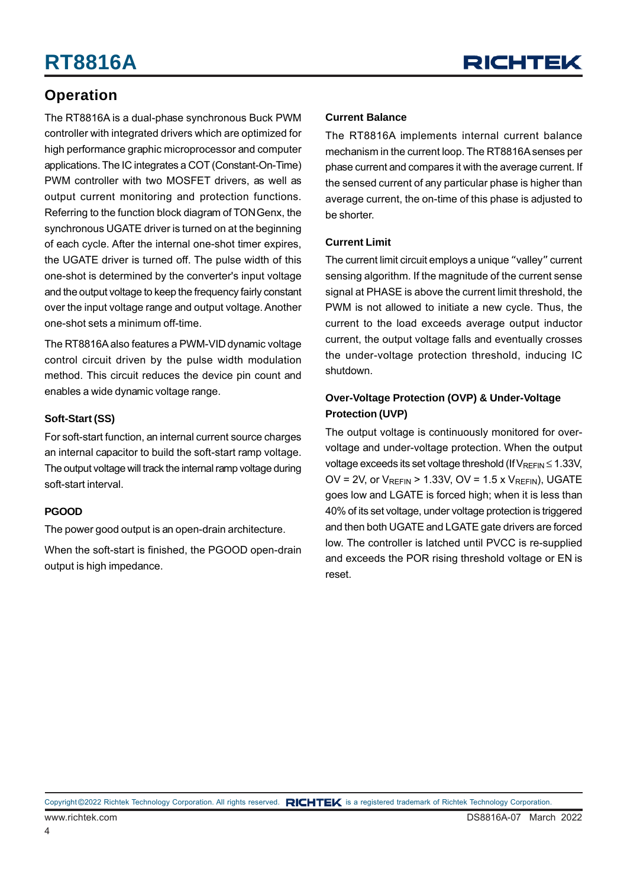### **Operation**

The RT8816A is a dual-phase synchronous Buck PWM controller with integrated drivers which are optimized for high performance graphic microprocessor and computer applications. The IC integrates a COT (Constant-On-Time) PWM controller with two MOSFET drivers, as well as output current monitoring and protection functions. Referring to the function block diagram of TON Genx, the synchronous UGATE driver is turned on at the beginning of each cycle. After the internal one-shot timer expires, the UGATE driver is turned off. The pulse width of this one-shot is determined by the converter's input voltage and the output voltage to keep the frequency fairly constant over the input voltage range and output voltage. Another one-shot sets a minimum off-time.

The RT8816A also features a PWM-VID dynamic voltage control circuit driven by the pulse width modulation method. This circuit reduces the device pin count and enables a wide dynamic voltage range.

#### **Soft-Start (SS)**

For soft-start function, an internal current source charges an internal capacitor to build the soft-start ramp voltage. The output voltage will track the internal ramp voltage during soft-start interval.

#### **PGOOD**

The power good output is an open-drain architecture.

When the soft-start is finished, the PGOOD open-drain output is high impedance.

#### **Current Balance**

The RT8816A implements internal current balance mechanism in the current loop. The RT8816A senses per phase current and compares it with the average current. If the sensed current of any particular phase is higher than average current, the on-time of this phase is adjusted to be shorter.

#### **Current Limit**

The current limit circuit employs a unique "valley" current sensing algorithm. If the magnitude of the current sense signal at PHASE is above the current limit threshold, the PWM is not allowed to initiate a new cycle. Thus, the current to the load exceeds average output inductor current, the output voltage falls and eventually crosses the under-voltage protection threshold, inducing IC shutdown.

#### **Over-Voltage Protection (OVP) & Under-Voltage Protection (UVP)**

The output voltage is continuously monitored for overvoltage and under-voltage protection. When the output voltage exceeds its set voltage threshold (If  $V_{REFIN} \le 1.33V$ , OV = 2V, or  $V_{RFFIN}$  > 1.33V, OV = 1.5 x  $V_{RFFIN}$ ), UGATE goes low and LGATE is forced high; when it is less than 40% of its set voltage, under voltage protection is triggered and then both UGATE and LGATE gate drivers are forced low. The controller is latched until PVCC is re-supplied and exceeds the POR rising threshold voltage or EN is reset.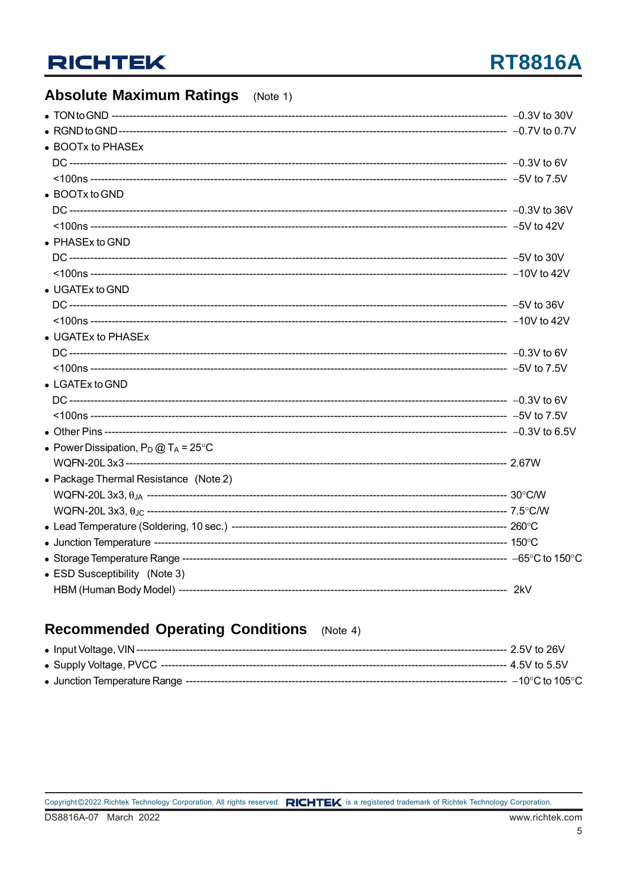## **RT8816A**

### **Absolute Maximum Ratings** (Note 1)

| • BOOTx to PHASEx                              |  |
|------------------------------------------------|--|
|                                                |  |
|                                                |  |
| • BOOTx to GND                                 |  |
|                                                |  |
|                                                |  |
| • PHASEx to GND                                |  |
|                                                |  |
|                                                |  |
| $\bullet$ UGATEx to GND                        |  |
|                                                |  |
|                                                |  |
| • UGATEx to PHASEx                             |  |
|                                                |  |
|                                                |  |
| $\bullet$ LGATEx to GND                        |  |
|                                                |  |
|                                                |  |
|                                                |  |
| • Power Dissipation, $P_D @ T_A = 25^{\circ}C$ |  |
|                                                |  |
| • Package Thermal Resistance (Note 2)          |  |
|                                                |  |
|                                                |  |
|                                                |  |
|                                                |  |
|                                                |  |
| • ESD Susceptibility (Note 3)                  |  |
|                                                |  |

### Recommended Operating Conditions (Note 4)

|  | ---- 4 5V to 5 5V |
|--|-------------------|
|  |                   |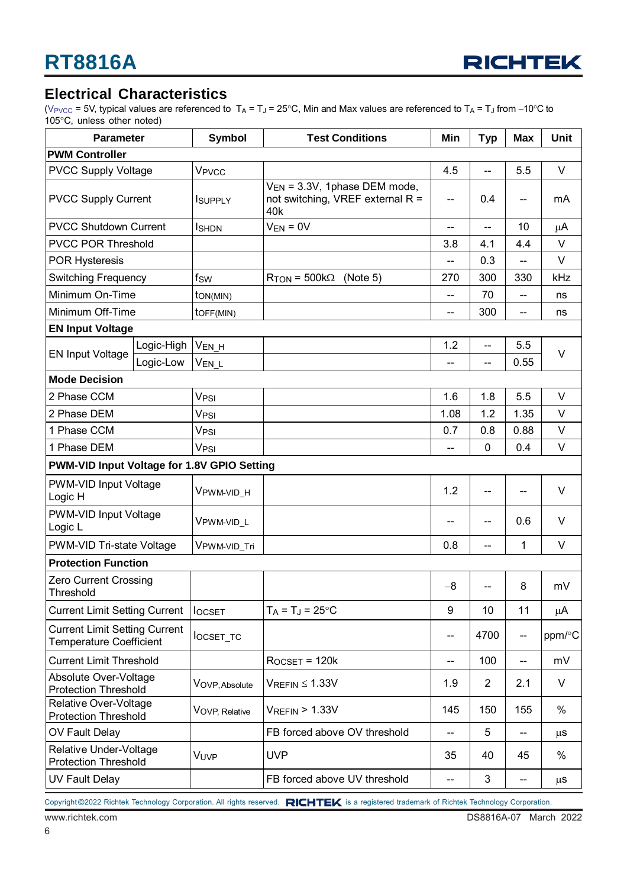

#### **Electrical Characteristics**

(V<sub>PVCC</sub> = 5V, typical values are referenced to T<sub>A</sub> = T<sub>J</sub> = 25°C, Min and Max values are referenced to T<sub>A</sub> = T<sub>J</sub> from −10°C to 105°C, unless other noted)

| <b>Parameter</b>                                                       |            | <b>Symbol</b>            | <b>Test Conditions</b>                                                              | Min                      | <b>Typ</b>               | Max                                 | <b>Unit</b> |
|------------------------------------------------------------------------|------------|--------------------------|-------------------------------------------------------------------------------------|--------------------------|--------------------------|-------------------------------------|-------------|
| <b>PWM Controller</b>                                                  |            |                          |                                                                                     |                          |                          |                                     |             |
| <b>PVCC Supply Voltage</b>                                             |            | V <sub>PVCC</sub>        |                                                                                     | 4.5                      | --                       | 5.5                                 | V           |
| <b>PVCC Supply Current</b>                                             |            | <b>I</b> SUPPLY          | V <sub>EN</sub> = 3.3V, 1phase DEM mode,<br>not switching, VREF external R =<br>40k |                          | 0.4                      | --                                  | mA          |
| <b>PVCC Shutdown Current</b>                                           |            | <b>I</b> SHDN            | $V_{EN} = 0V$                                                                       | --                       | $\overline{a}$           | 10                                  | μA          |
| <b>PVCC POR Threshold</b>                                              |            |                          |                                                                                     | 3.8                      | 4.1                      | 4.4                                 | V           |
| <b>POR Hysteresis</b>                                                  |            |                          |                                                                                     | --                       | 0.3                      | $-$                                 | V           |
| <b>Switching Frequency</b>                                             |            | fsw                      | $R_{TON}$ = 500k $\Omega$ (Note 5)                                                  | 270                      | 300                      | 330                                 | kHz         |
| Minimum On-Time                                                        |            | ton(MIN)                 |                                                                                     | $\overline{a}$           | 70                       | $\overline{\phantom{a}}$            | ns          |
| Minimum Off-Time                                                       |            | $to$ FF(MIN)             |                                                                                     | --                       | 300                      | $-$                                 | ns          |
| <b>EN Input Voltage</b>                                                |            |                          |                                                                                     |                          |                          |                                     |             |
|                                                                        | Logic-High | V <sub>EN_H</sub>        |                                                                                     | 1.2                      | $\overline{\phantom{a}}$ | 5.5                                 |             |
| <b>EN Input Voltage</b>                                                | Logic-Low  | V <sub>EN_L</sub>        |                                                                                     |                          |                          | 0.55                                | V           |
| <b>Mode Decision</b>                                                   |            |                          |                                                                                     |                          |                          |                                     |             |
| 2 Phase CCM                                                            |            | V <sub>PSI</sub>         |                                                                                     | 1.6                      | 1.8                      | 5.5                                 | V           |
| 2 Phase DEM                                                            |            | V <sub>PSI</sub>         |                                                                                     | 1.08                     | 1.2                      | 1.35                                | V           |
| 1 Phase CCM                                                            |            | V <sub>PSI</sub>         |                                                                                     | 0.7                      | 0.8                      | 0.88                                | $\vee$      |
| 1 Phase DEM                                                            |            | V <sub>PSI</sub>         |                                                                                     |                          | $\mathbf 0$              | 0.4                                 | $\vee$      |
| PWM-VID Input Voltage for 1.8V GPIO Setting                            |            |                          |                                                                                     |                          |                          |                                     |             |
| PWM-VID Input Voltage<br>Logic H                                       |            | VPWM-VID_H               |                                                                                     | 1.2                      | $\overline{\phantom{a}}$ | --                                  | V           |
| PWM-VID Input Voltage<br>Logic L                                       |            | VPWM-VID_L               |                                                                                     | --                       | $-\!$ $\!-$              | 0.6                                 | V           |
| PWM-VID Tri-state Voltage                                              |            | V <sub>PWM-VID_Tri</sub> |                                                                                     | 0.8                      | $\overline{\phantom{m}}$ | 1                                   | V           |
| <b>Protection Function</b>                                             |            |                          |                                                                                     |                          |                          |                                     |             |
| Zero Current Crossing<br>Threshold                                     |            |                          |                                                                                     | $-8$                     | --                       | 8                                   | mV          |
| <b>Current Limit Setting Current</b>                                   |            | <b>locsET</b>            | $T_A = T_J = 25$ °C                                                                 | 9                        | 10                       | 11                                  | μA          |
| <b>Current Limit Setting Current</b><br><b>Temperature Coefficient</b> |            | locset_tc                |                                                                                     | --                       | 4700                     | $\hspace{0.05cm}$ $\hspace{0.05cm}$ | ppm/°C      |
| <b>Current Limit Threshold</b>                                         |            |                          | $R$ <sub>OCSET</sub> = 120 $k$                                                      | $\overline{\phantom{a}}$ | 100                      | $\overline{\phantom{a}}$            | mV          |
| Absolute Over-Voltage<br><b>Protection Threshold</b>                   |            | VOVP, Absolute           | $V_{REFIN} \leq 1.33V$                                                              |                          | $\overline{2}$           | 2.1                                 | V           |
| Relative Over-Voltage<br><b>Protection Threshold</b>                   |            | VOVP, Relative           | $V_{REFIN}$ > 1.33V                                                                 | 145                      | 150                      | 155                                 | %           |
| OV Fault Delay                                                         |            |                          | FB forced above OV threshold                                                        | $\overline{\phantom{a}}$ | 5                        | $\overline{\phantom{a}}$            | $\mu$ S     |
| Relative Under-Voltage<br><b>Protection Threshold</b>                  |            | VUVP                     | <b>UVP</b>                                                                          | 35                       | 40                       | 45                                  | %           |
| <b>UV Fault Delay</b>                                                  |            |                          | FB forced above UV threshold<br>$\overline{\phantom{a}}$                            |                          | 3                        | $\hspace{0.05cm}$ $\hspace{0.05cm}$ | $\mu$ S     |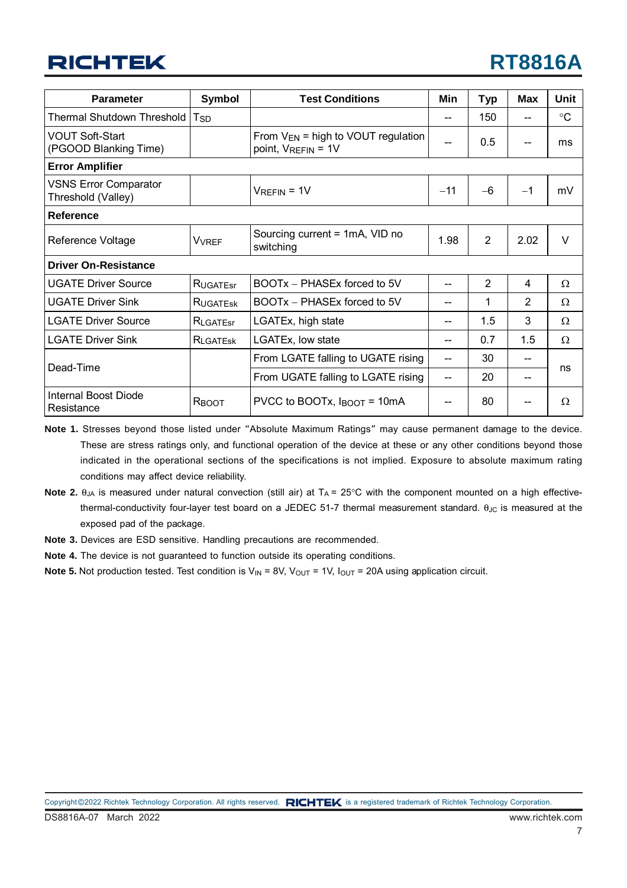| <b>Parameter</b>                                   | Symbol            | <b>Test Conditions</b>                                             | Min   | <b>Typ</b>     | Max               | <b>Unit</b>     |
|----------------------------------------------------|-------------------|--------------------------------------------------------------------|-------|----------------|-------------------|-----------------|
| <b>Thermal Shutdown Threshold</b>                  | T <sub>SD</sub>   |                                                                    |       | 150            | $-$               | $\rm ^{\circ}C$ |
| <b>VOUT Soft-Start</b><br>(PGOOD Blanking Time)    |                   | From $V_{EN}$ = high to VOUT regulation<br>point, $V_{REFIN} = 1V$ |       | 0.5            |                   | ms              |
| <b>Error Amplifier</b>                             |                   |                                                                    |       |                |                   |                 |
| <b>VSNS Error Comparator</b><br>Threshold (Valley) |                   | $V_{REFIN} = 1V$                                                   | $-11$ | $-6$           | $-1$              | mV              |
| <b>Reference</b>                                   |                   |                                                                    |       |                |                   |                 |
| Reference Voltage                                  | <b>VVRFF</b>      | Sourcing current = 1mA, VID no<br>switching                        | 1.98  | $\overline{2}$ | 2.02              | $\vee$          |
| <b>Driver On-Resistance</b>                        |                   |                                                                    |       |                |                   |                 |
| <b>UGATE Driver Source</b>                         | <b>RUGATEST</b>   | BOOTx - PHASEx forced to 5V                                        |       | $\overline{2}$ | 4                 | Ω               |
| <b>UGATE Driver Sink</b>                           | RUGATESK          | BOOTx - PHASEx forced to 5V                                        |       | 1              | $\overline{2}$    | Ω               |
| <b>LGATE Driver Source</b>                         | RLGATEST          | LGATEx, high state                                                 |       | 1.5            | 3                 | Ω               |
| <b>LGATE Driver Sink</b>                           | <b>RI</b> GATESK  | LGATEx, low state                                                  |       | 0.7            | 1.5               | Ω               |
| Dead-Time                                          |                   | From LGATE falling to UGATE rising                                 | $-$   | 30             | $\qquad \qquad -$ |                 |
|                                                    |                   | From UGATE falling to LGATE rising                                 | --    | 20             | --                | ns              |
| Internal Boost Diode<br>Resistance                 | R <sub>BOOT</sub> | PVCC to BOOTx, $I_{\text{BOOT}} = 10 \text{mA}$                    |       | 80             |                   | Ω               |

**Note 1.** Stresses beyond those listed under "Absolute Maximum Ratings" may cause permanent damage to the device. These are stress ratings only, and functional operation of the device at these or any other conditions beyond those indicated in the operational sections of the specifications is not implied. Exposure to absolute maximum rating conditions may affect device reliability.

- **Note 2.**  $\theta_{JA}$  is measured under natural convection (still air) at  $T_A = 25^\circ$ C with the component mounted on a high effectivethermal-conductivity four-layer test board on a JEDEC 51-7 thermal measurement standard.  $θ_{JC}$  is measured at the exposed pad of the package.
- **Note 3.** Devices are ESD sensitive. Handling precautions are recommended.
- **Note 4.** The device is not guaranteed to function outside its operating conditions.
- **Note 5.** Not production tested. Test condition is  $V_{\text{IN}} = 8V$ ,  $V_{\text{OUT}} = 1V$ ,  $I_{\text{OUT}} = 20A$  using application circuit.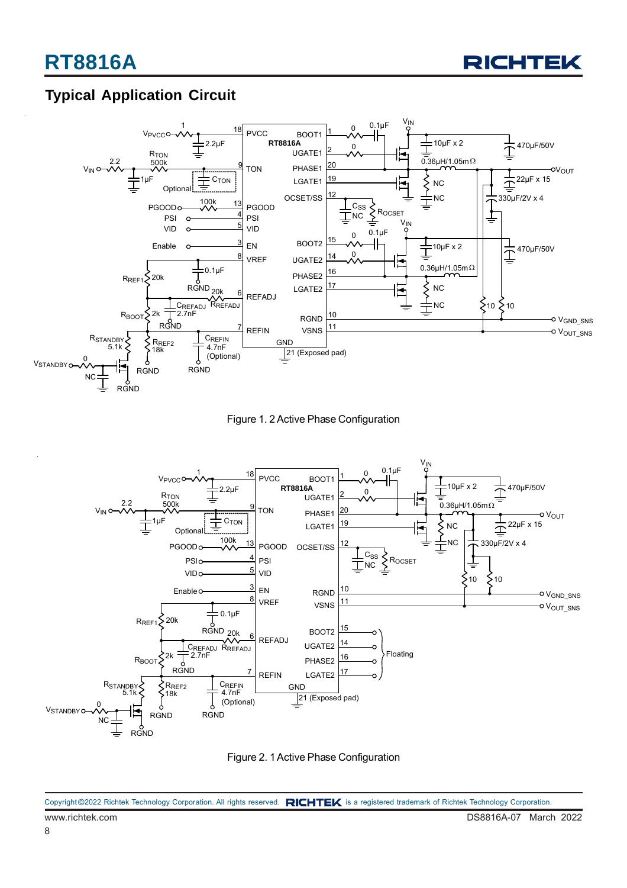

### **Typical Application Circuit**



Figure 1. 2 Active Phase Configuration



Figure 2. 1 Active Phase Configuration

www.richtek.com DS8816A-07 March 2022 Copyright @2022 Richtek Technology Corporation. All rights reserved. RICHTEK is a registered trademark of Richtek Technology Corporation.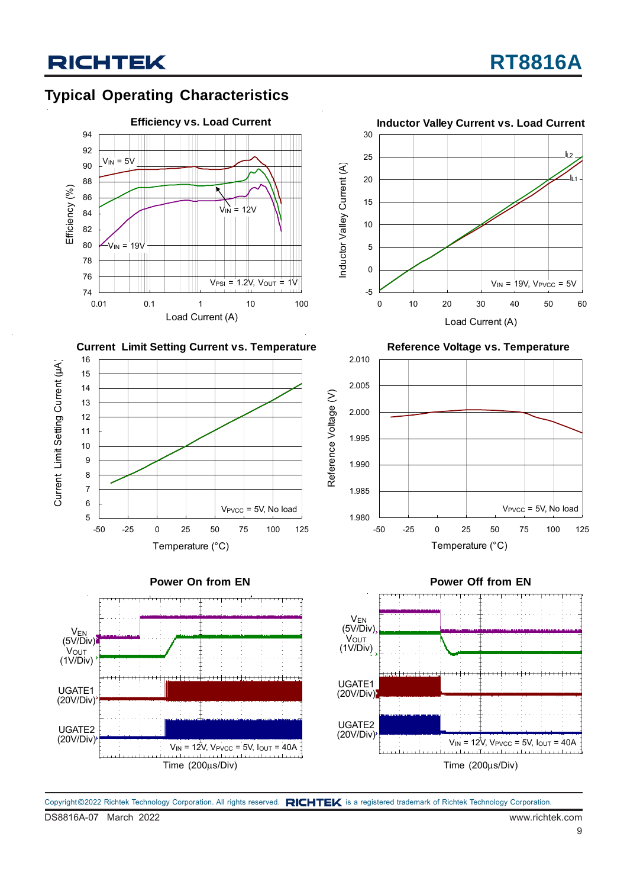### **Typical Operating Characteristics**















2.010





DS8816A-07 March 2022 www.richtek.com Copyright ©2022 Richtek Technology Corporation. All rights reserved. RICHTEK is a registered trademark of Richtek Technology Corporation.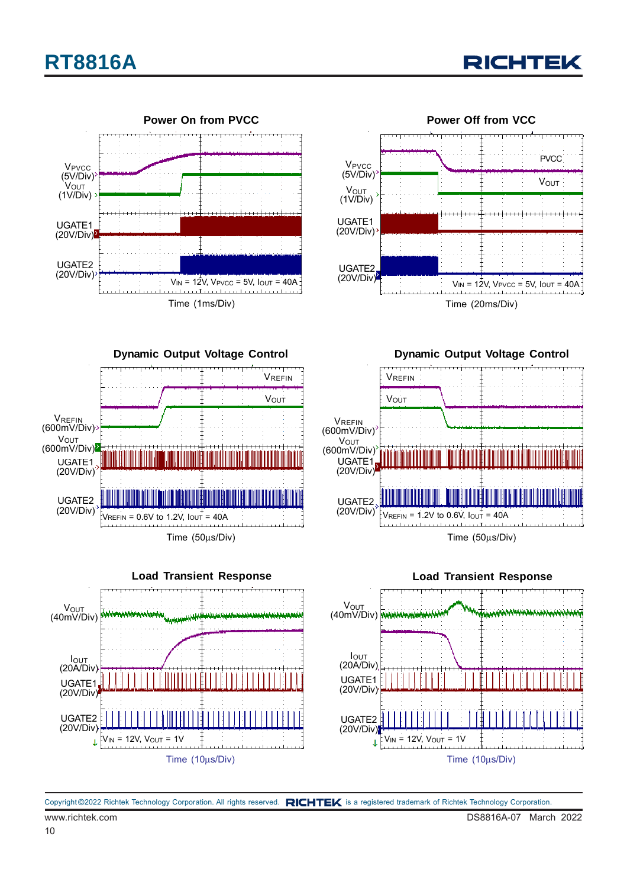## **RT8816A**







**Dynamic Output Voltage Control** Time (50μs/Div) UGATE1 (20V/Div)  $\frac{1}{2}$ VREFIN = 0.6V to 1.2V,  $I_{\text{OUT}} = 40$ A UGATE2 (20V/Div) **VOUT** (600mV/Div) **VREFIN** (600mV/Div) VREFIN **V**OUT



**Dynamic Output Voltage Control**



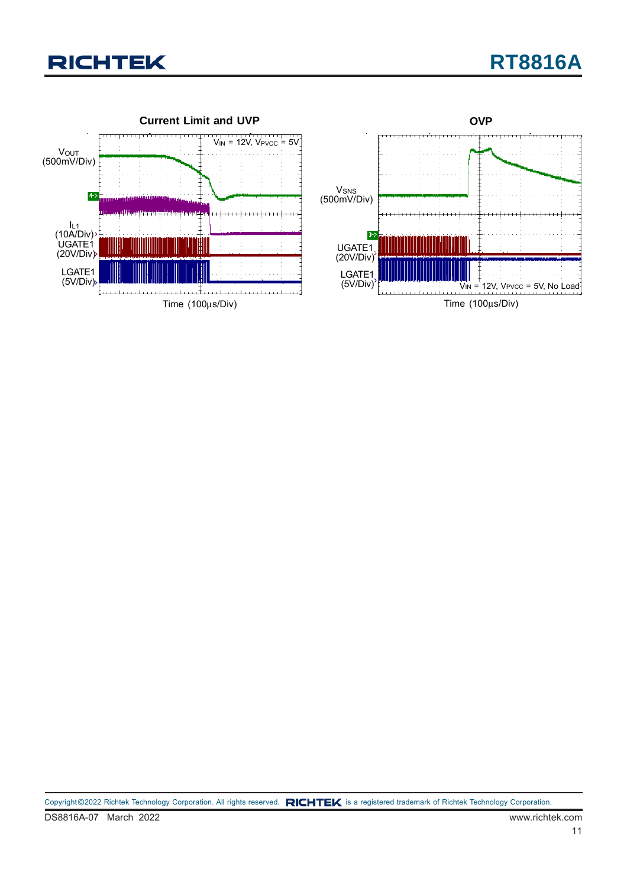

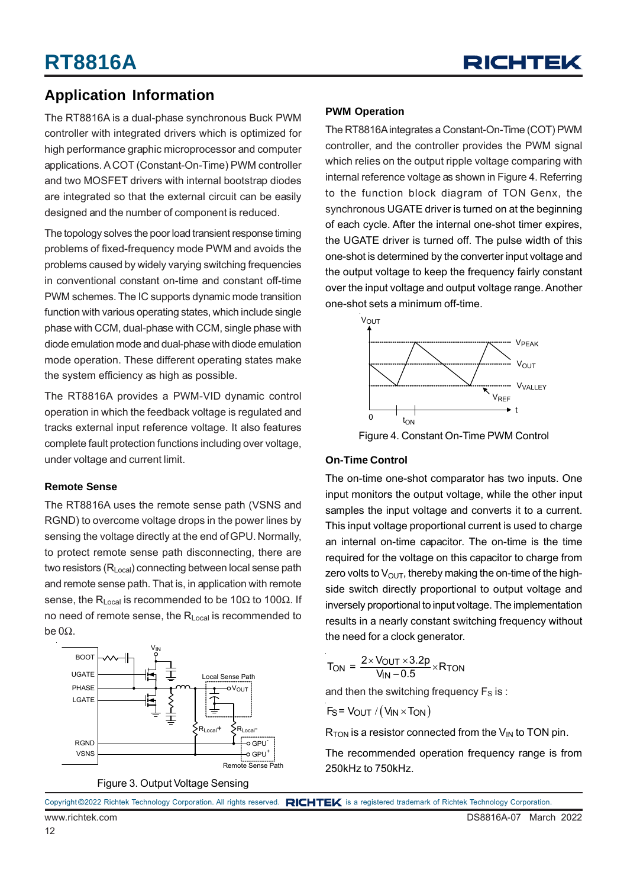

### **Application Information**

The RT8816A is a dual-phase synchronous Buck PWM controller with integrated drivers which is optimized for high performance graphic microprocessor and computer applications. A COT (Constant-On-Time) PWM controller and two MOSFET drivers with internal bootstrap diodes are integrated so that the external circuit can be easily designed and the number of component is reduced.

The topology solves the poor load transient response timing problems of fixed-frequency mode PWM and avoids the problems caused by widely varying switching frequencies in conventional constant on-time and constant off-time PWM schemes. The IC supports dynamic mode transition function with various operating states, which include single phase with CCM, dual-phase with CCM, single phase with diode emulation mode and dual-phase with diode emulation mode operation. These different operating states make the system efficiency as high as possible.

The RT8816A provides a PWM-VID dynamic control operation in which the feedback voltage is regulated and tracks external input reference voltage. It also features complete fault protection functions including over voltage, under voltage and current limit.

#### **Remote Sense**

The RT8816A uses the remote sense path (VSNS and RGND) to overcome voltage drops in the power lines by sensing the voltage directly at the end of GPU. Normally, to protect remote sense path disconnecting, there are two resistors (R<sub>Local</sub>) connecting between local sense path and remote sense path. That is, in application with remote sense, the R<sub>Local</sub> is recommended to be 10 $\Omega$  to 100 $\Omega$ . If no need of remote sense, the R<sub>Local</sub> is recommended to be 0Ω.



Figure 3. Output Voltage Sensing

#### **PWM Operation**

The RT8816A integrates a Constant-On-Time (COT) PWM controller, and the controller provides the PWM signal which relies on the output ripple voltage comparing with internal reference voltage as shown in Figure 4. Referring to the function block diagram of TON Genx, the synchronous UGATE driver is turned on at the beginning of each cycle. After the internal one-shot timer expires, the UGATE driver is turned off. The pulse width of this one-shot is determined by the converter input voltage and the output voltage to keep the frequency fairly constant over the input voltage and output voltage range. Another one-shot sets a minimum off-time.



Figure 4. Constant On-Time PWM Control

#### **On-Time Control**

The on-time one-shot comparator has two inputs. One input monitors the output voltage, while the other input samples the input voltage and converts it to a current. This input voltage proportional current is used to charge an internal on-time capacitor. The on-time is the time required for the voltage on this capacitor to charge from zero volts to  $V_{\text{OUT}}$ , thereby making the on-time of the highside switch directly proportional to output voltage and inversely proportional to input voltage. The implementation results in a nearly constant switching frequency without the need for a clock generator.

$$
T_{\text{ON}} = \frac{2 \times V_{\text{OUT}} \times 3.2p}{V_{\text{IN}} - 0.5} \times R_{\text{TON}}
$$

and then the switching frequency  $F_S$  is :

$$
F_S = V_{OUT} / (V_{IN} \times T_{ON})
$$

 $R_{TON}$  is a resistor connected from the  $V_{IN}$  to TON pin.

The recommended operation frequency range is from 250kHz to 750kHz.

|  |  | Copyright ©2022 Richtek Technology Corporation. All rights reserved. RICHTEK is a registered trademark of Richtek Technology Corporation. |  |
|--|--|-------------------------------------------------------------------------------------------------------------------------------------------|--|
|  |  |                                                                                                                                           |  |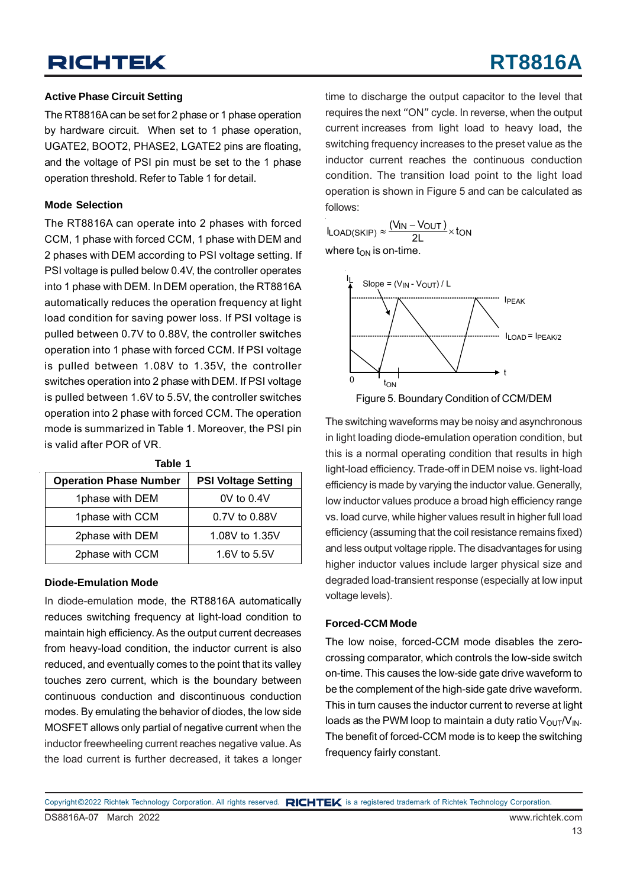## **RT8816A**

#### **Active Phase Circuit Setting**

The RT8816A can be set for 2 phase or 1 phase operation by hardware circuit. When set to 1 phase operation, UGATE2, BOOT2, PHASE2, LGATE2 pins are floating, and the voltage of PSI pin must be set to the 1 phase operation threshold. Refer to Table 1 for detail.

#### **Mode Selection**

The RT8816A can operate into 2 phases with forced CCM, 1 phase with forced CCM, 1 phase with DEM and 2 phases with DEM according to PSI voltage setting. If PSI voltage is pulled below 0.4V, the controller operates into 1 phase with DEM. In DEM operation, the RT8816A automatically reduces the operation frequency at light load condition for saving power loss. If PSI voltage is pulled between 0.7V to 0.88V, the controller switches operation into 1 phase with forced CCM. If PSI voltage is pulled between 1.08V to 1.35V, the controller switches operation into 2 phase with DEM. If PSI voltage is pulled between 1.6V to 5.5V, the controller switches operation into 2 phase with forced CCM. The operation mode is summarized in Table 1. Moreover, the PSI pin is valid after POR of VR.

| .                             |                            |  |  |  |  |  |
|-------------------------------|----------------------------|--|--|--|--|--|
| <b>Operation Phase Number</b> | <b>PSI Voltage Setting</b> |  |  |  |  |  |
| 1phase with DEM               | $0V$ to $0.4V$             |  |  |  |  |  |
| 1phase with CCM               | 0.7V to 0.88V              |  |  |  |  |  |
| 2phase with DEM               | 1.08V to 1.35V             |  |  |  |  |  |
| 2phase with CCM               | 1.6V to 5.5V               |  |  |  |  |  |

**Table 1**

#### **Diode-Emulation Mode**

In diode-emulation mode, the RT8816A automatically reduces switching frequency at light-load condition to maintain high efficiency. As the output current decreases from heavy-load condition, the inductor current is also reduced, and eventually comes to the point that its valley touches zero current, which is the boundary between continuous conduction and discontinuous conduction modes. By emulating the behavior of diodes, the low side MOSFET allows only partial of negative current when the inductor freewheeling current reaches negative value. As the load current is further decreased, it takes a longer

time to discharge the output capacitor to the level that requires the next "ON" cycle. In reverse, when the output current increases from light load to heavy load, the switching frequency increases to the preset value as the inductor current reaches the continuous conduction condition. The transition load point to the light load operation is shown in Figure 5 and can be calculated as follows:

 $I_{\text{LOAD(SKIP)}} \approx \frac{(V_{\text{IN}} - V_{\text{OUT}})}{2L} \times \text{ton}$ where  $t_{ON}$  is on-time.



Figure 5. Boundary Condition of CCM/DEM

The switching waveforms may be noisy and asynchronous in light loading diode-emulation operation condition, but this is a normal operating condition that results in high light-load efficiency. Trade-off in DEM noise vs. light-load efficiency is made by varying the inductor value. Generally, low inductor values produce a broad high efficiency range vs. load curve, while higher values result in higher full load efficiency (assuming that the coil resistance remains fixed) and less output voltage ripple. The disadvantages for using higher inductor values include larger physical size and degraded load-transient response (especially at low input voltage levels).

#### **Forced-CCM Mode**

The low noise, forced-CCM mode disables the zerocrossing comparator, which controls the low-side switch on-time. This causes the low-side gate drive waveform to be the complement of the high-side gate drive waveform. This in turn causes the inductor current to reverse at light loads as the PWM loop to maintain a duty ratio  $V_{\text{OUT}}/V_{\text{IN}}$ . The benefit of forced-CCM mode is to keep the switching frequency fairly constant.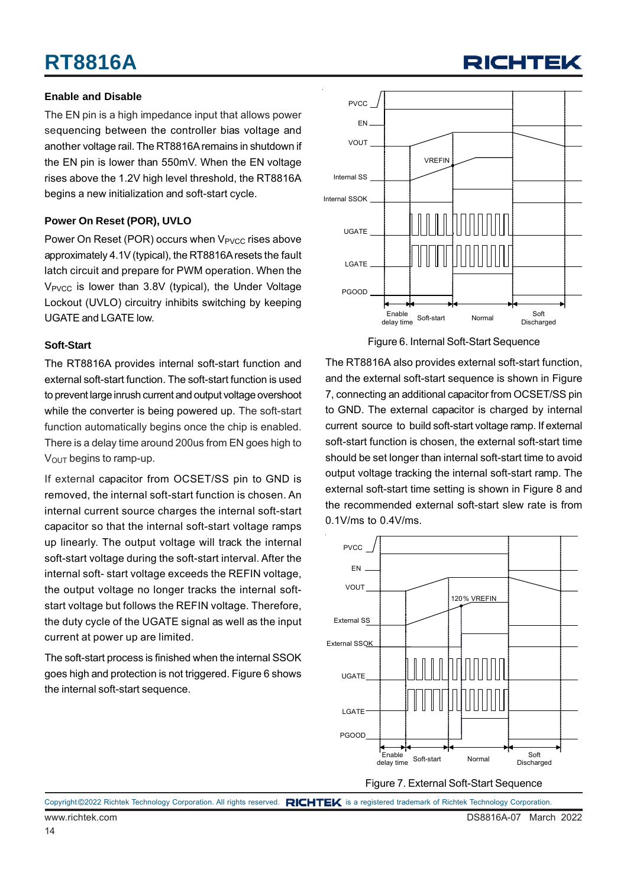## **RT8816A**

#### **Enable and Disable**

The EN pin is a high impedance input that allows power sequencing between the controller bias voltage and another voltage rail. The RT8816A remains in shutdown if the EN pin is lower than 550mV. When the EN voltage rises above the 1.2V high level threshold, the RT8816A begins a new initialization and soft-start cycle.

#### **Power On Reset (POR), UVLO**

Power On Reset (POR) occurs when V<sub>PVCC</sub> rises above approximately 4.1V (typical), the RT8816A resets the fault latch circuit and prepare for PWM operation. When the V<sub>PVCC</sub> is lower than 3.8V (typical), the Under Voltage Lockout (UVLO) circuitry inhibits switching by keeping UGATE and LGATE low.

#### **Soft-Start**

The RT8816A provides internal soft-start function and external soft-start function. The soft-start function is used to prevent large inrush current and output voltage overshoot while the converter is being powered up. The soft-start function automatically begins once the chip is enabled. There is a delay time around 200us from EN goes high to  $V<sub>OUT</sub>$  begins to ramp-up.

If external capacitor from OCSET/SS pin to GND is removed, the internal soft-start function is chosen. An internal current source charges the internal soft-start capacitor so that the internal soft-start voltage ramps up linearly. The output voltage will track the internal soft-start voltage during the soft-start interval. After the internal soft- start voltage exceeds the REFIN voltage, the output voltage no longer tracks the internal softstart voltage but follows the REFIN voltage. Therefore, the duty cycle of the UGATE signal as well as the input current at power up are limited.

The soft-start process is finished when the internal SSOK goes high and protection is not triggered. Figure 6 shows the internal soft-start sequence.



**RICHTEI** 

Figure 6. Internal Soft-Start Sequence

The RT8816A also provides external soft-start function, and the external soft-start sequence is shown in Figure 7, connecting an additional capacitor from OCSET/SS pin to GND. The external capacitor is charged by internal current source to build soft-start voltage ramp. If external soft-start function is chosen, the external soft-start time should be set longer than internal soft-start time to avoid output voltage tracking the internal soft-start ramp. The external soft-start time setting is shown in Figure 8 and the recommended external soft-start slew rate is from 0.1V/ms to 0.4V/ms.



Copyright ©2022 Richtek Technology Corporation. All rights reserved. RICHTEK is a registered trademark of Richtek Technology Corporation.

14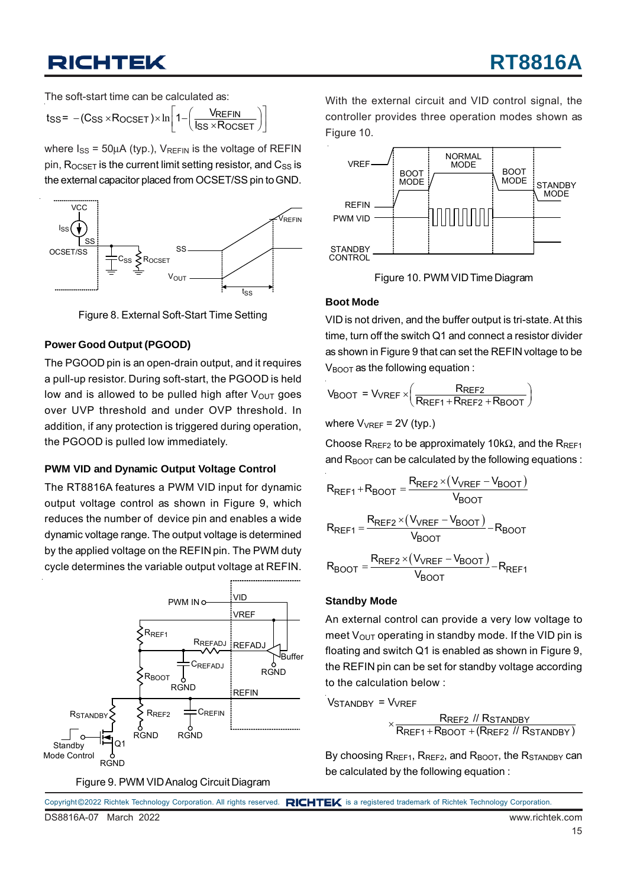The soft-start time can be calculated as:

$$
t_{SS} = -(C_{SS} \times R_{OCSET}) \times \ln\left[1 - \left(\frac{V_{REFIN}}{I_{SS} \times R_{OCSET}}\right)\right]
$$

where  $I_{SS} = 50\mu A$  (typ.),  $V_{REFIN}$  is the voltage of REFIN pin,  $R_{OCSET}$  is the current limit setting resistor, and  $C_{SS}$  is the external capacitor placed from OCSET/SS pin to GND.



Figure 8. External Soft-Start Time Setting

#### **Power Good Output (PGOOD)**

The PGOOD pin is an open-drain output, and it requires a pull-up resistor. During soft-start, the PGOOD is held low and is allowed to be pulled high after  $V_{\text{OUT}}$  goes over UVP threshold and under OVP threshold. In addition, if any protection is triggered during operation, the PGOOD is pulled low immediately.

#### **PWM VID and Dynamic Output Voltage Control**

The RT8816A features a PWM VID input for dynamic output voltage control as shown in Figure 9, which reduces the number of device pin and enables a wide dynamic voltage range. The output voltage is determined by the applied voltage on the REFIN pin. The PWM duty cycle determines the variable output voltage at REFIN.



Figure 9. PWM VID Analog Circuit Diagram

With the external circuit and VID control signal, the controller provides three operation modes shown as Figure 10.



Figure 10. PWM VID Time Diagram

#### **Boot Mode**

VID is not driven, and the buffer output is tri-state. At this time, turn off the switch Q1 and connect a resistor divider as shown in Figure 9 that can set the REFIN voltage to be  $V_{\text{BOOT}}$  as the following equation :

$$
V_{\text{BOOT}} = V_{\text{VREF}} \times \left(\frac{R_{\text{REF2}}}{R_{\text{REF1}} + R_{\text{REF2}} + R_{\text{BOOT}}}\right)
$$

where 
$$
V_{VREF} = 2V
$$
 (typ.)

Choose R<sub>REF2</sub> to be approximately 10k $\Omega$ , and the R<sub>REF1</sub> and  $R_{\text{BOOT}}$  can be calculated by the following equations :

$$
R_{REF1} + R_{BOOT} = \frac{R_{REF2} \times (V_{VREF} - V_{BOOT})}{V_{BOOT}}
$$
  

$$
R_{REF1} = \frac{R_{REF2} \times (V_{VREF} - V_{BOOT})}{V_{BOOT}} - R_{BOOT}
$$
  

$$
R_{BOOT} = \frac{R_{REF2} \times (V_{VREF} - V_{BOOT})}{V_{BOOT}} - R_{REF1}
$$

#### **Standby Mode**

An external control can provide a very low voltage to meet  $V_{\text{OUT}}$  operating in standby mode. If the VID pin is floating and switch Q1 is enabled as shown in Figure 9, the REFIN pin can be set for standby voltage according to the calculation below :

Vstandby = Vvref

 REF2 STANDBY  $\times \frac{\textsf{R}_\textsf{REF2} \textit{ // R}_\textsf{STANDBY}}{\textsf{R}_\textsf{REF1} + \textsf{R}_\textsf{BOOT} + (\textsf{R}_\textsf{REF2} \textit{ // R}_\textsf{STANDBY})}$ 

By choosing  $R_{REF1}$ ,  $R_{REF2}$ , and  $R_{BOOT}$ , the  $R_{STANDBY}$  can be calculated by the following equation :

|                       |  | Copyright ©2022 Richtek Technology Corporation. All rights reserved. RICHTEK is a registered trademark of Richtek Technology Corporation. |                 |  |
|-----------------------|--|-------------------------------------------------------------------------------------------------------------------------------------------|-----------------|--|
| DS8816A-07 March 2022 |  |                                                                                                                                           | www.richtek.com |  |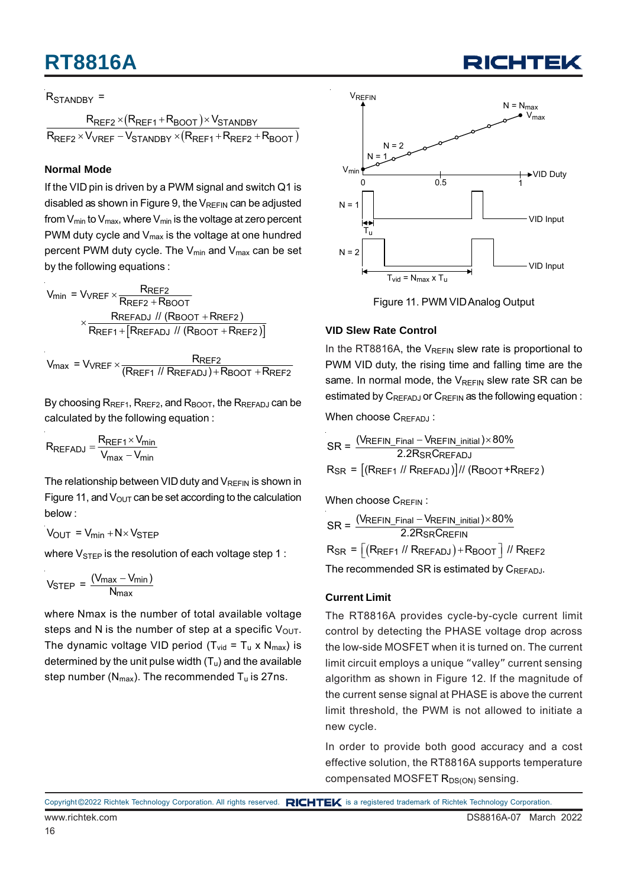## **RT8816A**

#### R<sub>STANDBY</sub> =

 $(R_{\mathsf{REF1}}+R_{\mathsf{BOOT}})$  $(R_{\mathsf{REF1}} + R_{\mathsf{REF2}} + R_{\mathsf{BOOT}})$ REF2 <sup>X</sup> (LREF1 <sup>+ R</sup>BOOT )<sup>X</sup> VSTANDBY REF2 <sup>X V</sup>VREF <sup>— V</sup>STANDBY <sup>X</sup> (**KREF1 † KREF2 † KBOOT**  $R_{\sf{RFF2}} \times (R_{\sf{RFF1}} + R_{\sf{BNOT}}) \times V_{\sf{S}}$  $R_{\sf{REF2}} \times V_{\sf{VREF}} - V_{\sf{STANDRY}} \times (R_{\sf{REF1}} + R_{\sf{REF2}} + R_{\sf{SFF3}})$  $\times$ (R<sub>RFF1</sub>+R<sub>BOOT</sub>) $\times$  $\times$   $V_{\text{VREF}}$  –  $V_{\text{STANNBY}}$   $\times$   $(R_{\text{RFF1}}$  +  $R_{\text{REF2}}$  +

#### **Normal Mode**

If the VID pin is driven by a PWM signal and switch Q1 is disabled as shown in Figure 9, the  $V_{REFIN}$  can be adjusted from  $V_{min}$  to  $V_{max}$ , where  $V_{min}$  is the voltage at zero percent PWM duty cycle and  $V_{\text{max}}$  is the voltage at one hundred percent PWM duty cycle. The  $V_{min}$  and  $V_{max}$  can be set by the following equations :

$$
V_{min} = V_{VREF} \times \frac{R_{REF2}}{R_{REF2} + R_{BOOT}}
$$

$$
\times \frac{R_{REFADJ} \text{ // (R_{BOOT} + R_{REF2})}}{R_{REF1} + [R_{REFADJ} \text{ // (R_{BOOT} + R_{REF2})}]}
$$

 $V_{\text{max}}$  =  $V_{\text{VREF}} \times \frac{R_{\text{REF2}}}{(R_{\text{REF1}} \text{ // } R_{\text{REFADJ}}) + R_{\text{BOOT}} + R_{\text{REF2}}}$ 

By choosing  $R_{REF1}$ ,  $R_{REF2}$ , and  $R_{BOOT}$ , the  $R_{REFADJ}$  can be calculated by the following equation :

$$
R_{REFADJ} = \frac{R_{REF1} \times V_{min}}{V_{max} - V_{min}}
$$

The relationship between VID duty and  $V_{RFFIN}$  is shown in Figure 11, and  $V_{\text{OUT}}$  can be set according to the calculation below :

$$
V_{OUT} = V_{min} + N \times V_{STEP}
$$

where  $V_{\text{STEP}}$  is the resolution of each voltage step 1 :

$$
V_{STEP} = \frac{(V_{max} - V_{min})}{N_{max}}
$$

where Nmax is the number of total available voltage steps and N is the number of step at a specific  $V_{\text{OUT}}$ . The dynamic voltage VID period ( $T_{vid} = T_u \times N_{max}$ ) is determined by the unit pulse width  $(T_u)$  and the available step number ( $N_{max}$ ). The recommended  $T_u$  is 27ns.



Figure 11. PWM VID Analog Output

#### **VID Slew Rate Control**

In the RT8816A, the  $V_{RFFIN}$  slew rate is proportional to PWM VID duty, the rising time and falling time are the same. In normal mode, the  $V_{REFIN}$  slew rate SR can be estimated by  $C_{REFADJ}$  or  $C_{REFIN}$  as the following equation :

When choose CREFADJ:

$$
SR = \frac{(V_{REFIN\_Final} - V_{REFIN\_initial}) \times 80\%}{2.2R_{SR}C_{REFADJ}}
$$
  
R<sub>SR</sub> = [(R<sub>REF1</sub> // R<sub>REFADJ</sub>)] // (R<sub>BOOT</sub> +R<sub>REF2</sub>)

When choose CREEIN:

$$
SR = \frac{(VREFIN\_Final - VREFIN\_initial) \times 80\%}{2.2R_{SR}CREFIN}
$$

$$
R_{SR} = \left[ \left( RREF1 \; // \; RREFADJ \right) + RBOOT \right] / / \; RREF2
$$

The recommended SR is estimated by CREFADJ.

#### **Current Limit**

The RT8816A provides cycle-by-cycle current limit control by detecting the PHASE voltage drop across the low-side MOSFET when it is turned on. The current limit circuit employs a unique "valley" current sensing algorithm as shown in Figure 12. If the magnitude of the current sense signal at PHASE is above the current limit threshold, the PWM is not allowed to initiate a new cycle.

In order to provide both good accuracy and a cost effective solution, the RT8816A supports temperature compensated MOSFET R<sub>DS(ON)</sub> sensing.



Copyright ©2022 Richtek Technology Corporation. All rights reserved. RICHTEK is a registered trademark of Richtek Technology Corporation.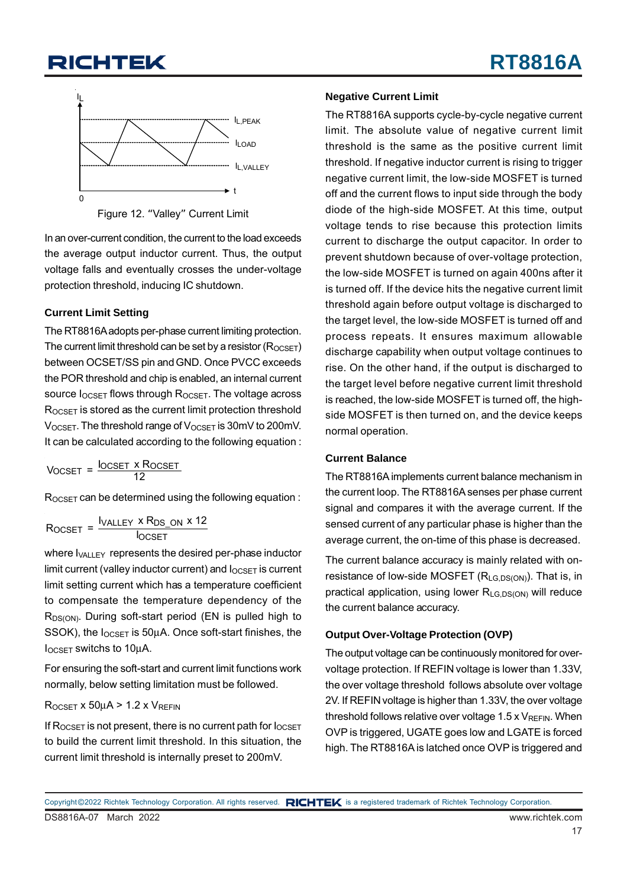

Figure 12. "Valley" Current Limit

In an over-current condition, the current to the load exceeds the average output inductor current. Thus, the output voltage falls and eventually crosses the under-voltage protection threshold, inducing IC shutdown.

#### **Current Limit Setting**

The RT8816A adopts per-phase current limiting protection. The current limit threshold can be set by a resistor  $(R_{OCSFT})$ between OCSET/SS pin and GND. Once PVCC exceeds the POR threshold and chip is enabled, an internal current source  $I_{OCSET}$  flows through R<sub>OCSET</sub>. The voltage across ROCSET is stored as the current limit protection threshold  $V_{OCSET}$ . The threshold range of  $V_{OCSET}$  is 30mV to 200mV. It can be calculated according to the following equation :

Vocset = <sup>l</sup>ocset x Rocset<br>12

ROCSET can be determined using the following equation :

$$
R_{OCSET} = \frac{I_{VALLEY} \times R_{DS\_ON} \times 12}{I_{OCSET}}
$$

where  $I_{VAII}$  FY represents the desired per-phase inductor limit current (valley inductor current) and  $I_{OCSET}$  is current limit setting current which has a temperature coefficient to compensate the temperature dependency of the R<sub>DS(ON)</sub>. During soft-start period (EN is pulled high to SSOK), the  $I_{OCSET}$  is 50 $\mu$ A. Once soft-start finishes, the  $I_{OCSET}$  switchs to 10 $\mu$ A.

For ensuring the soft-start and current limit functions work normally, below setting limitation must be followed.

#### $R_{OCSET}$  x 50 $\mu$ A > 1.2 x  $V_{REFIN}$

If  $R_{OCSET}$  is not present, there is no current path for  $I_{OCSET}$ to build the current limit threshold. In this situation, the current limit threshold is internally preset to 200mV.

#### **Negative Current Limit**

The RT8816A supports cycle-by-cycle negative current limit. The absolute value of negative current limit threshold is the same as the positive current limit threshold. If negative inductor current is rising to trigger negative current limit, the low-side MOSFET is turned off and the current flows to input side through the body diode of the high-side MOSFET. At this time, output voltage tends to rise because this protection limits current to discharge the output capacitor. In order to prevent shutdown because of over-voltage protection, the low-side MOSFET is turned on again 400ns after it is turned off. If the device hits the negative current limit threshold again before output voltage is discharged to the target level, the low-side MOSFET is turned off and process repeats. It ensures maximum allowable discharge capability when output voltage continues to rise. On the other hand, if the output is discharged to the target level before negative current limit threshold is reached, the low-side MOSFET is turned off, the highside MOSFET is then turned on, and the device keeps normal operation.

#### **Current Balance**

The RT8816A implements current balance mechanism in the current loop. The RT8816A senses per phase current signal and compares it with the average current. If the sensed current of any particular phase is higher than the average current, the on-time of this phase is decreased.

The current balance accuracy is mainly related with onresistance of low-side MOSFET  $(R_{LG,DS(ON)})$ . That is, in practical application, using lower  $R_{LG,DS(ON)}$  will reduce the current balance accuracy.

#### **Output Over-Voltage Protection (OVP)**

The output voltage can be continuously monitored for overvoltage protection. If REFIN voltage is lower than 1.33V, the over voltage threshold follows absolute over voltage 2V. If REFIN voltage is higher than 1.33V, the over voltage threshold follows relative over voltage  $1.5 \times V_{REFIN}$ . When OVP is triggered, UGATE goes low and LGATE is forced high. The RT8816A is latched once OVP is triggered and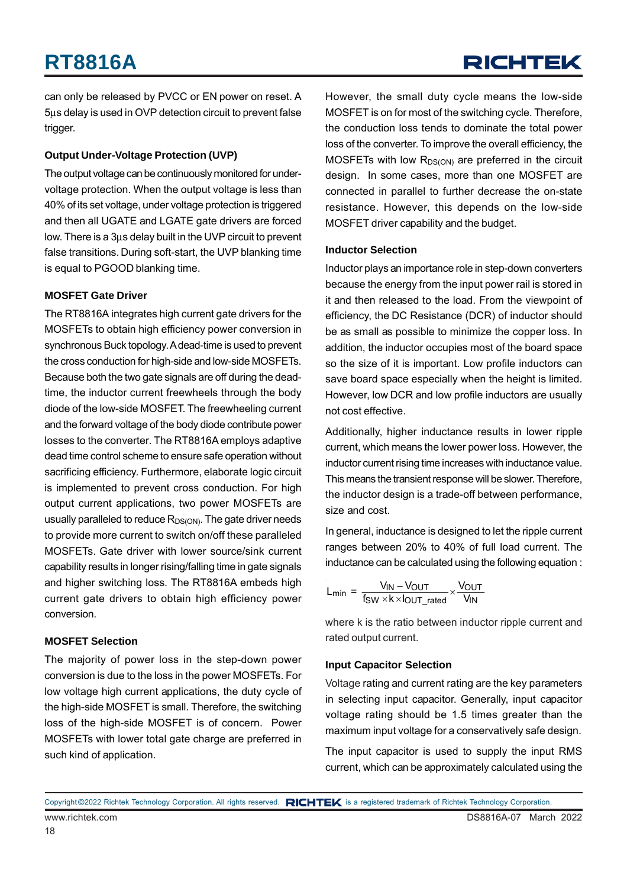can only be released by PVCC or EN power on reset. A 5μs delay is used in OVP detection circuit to prevent false trigger.

#### **Output Under-Voltage Protection (UVP)**

The output voltage can be continuously monitored for undervoltage protection. When the output voltage is less than 40% of its set voltage, under voltage protection is triggered and then all UGATE and LGATE gate drivers are forced low. There is a 3μs delay built in the UVP circuit to prevent false transitions. During soft-start, the UVP blanking time is equal to PGOOD blanking time.

#### **MOSFET Gate Driver**

The RT8816A integrates high current gate drivers for the MOSFETs to obtain high efficiency power conversion in synchronous Buck topology. A dead-time is used to prevent the cross conduction for high-side and low-side MOSFETs. Because both the two gate signals are off during the deadtime, the inductor current freewheels through the body diode of the low-side MOSFET. The freewheeling current and the forward voltage of the body diode contribute power losses to the converter. The RT8816A employs adaptive dead time control scheme to ensure safe operation without sacrificing efficiency. Furthermore, elaborate logic circuit is implemented to prevent cross conduction. For high output current applications, two power MOSFETs are usually paralleled to reduce  $R_{DS(ON)}$ . The gate driver needs to provide more current to switch on/off these paralleled MOSFETs. Gate driver with lower source/sink current capability results in longer rising/falling time in gate signals and higher switching loss. The RT8816A embeds high current gate drivers to obtain high efficiency power conversion.

#### **MOSFET Selection**

The majority of power loss in the step-down power conversion is due to the loss in the power MOSFETs. For low voltage high current applications, the duty cycle of the high-side MOSFET is small. Therefore, the switching loss of the high-side MOSFET is of concern. Power MOSFETs with lower total gate charge are preferred in such kind of application.

However, the small duty cycle means the low-side MOSFET is on for most of the switching cycle. Therefore, the conduction loss tends to dominate the total power loss of the converter. To improve the overall efficiency, the MOSFETs with low  $R_{DS(ON)}$  are preferred in the circuit design. In some cases, more than one MOSFET are connected in parallel to further decrease the on-state resistance. However, this depends on the low-side MOSFET driver capability and the budget.

#### **Inductor Selection**

Inductor plays an importance role in step-down converters because the energy from the input power rail is stored in it and then released to the load. From the viewpoint of efficiency, the DC Resistance (DCR) of inductor should be as small as possible to minimize the copper loss. In addition, the inductor occupies most of the board space so the size of it is important. Low profile inductors can save board space especially when the height is limited. However, low DCR and low profile inductors are usually not cost effective.

Additionally, higher inductance results in lower ripple current, which means the lower power loss. However, the inductor current rising time increases with inductance value. This means the transient response will be slower. Therefore, the inductor design is a trade-off between performance. size and cost.

In general, inductance is designed to let the ripple current ranges between 20% to 40% of full load current. The inductance can be calculated using the following equation :

$$
L_{min} = \frac{V_{IN} - V_{OUT}}{f_{SW} \times k \times l_{OUT\_rated}} \times \frac{V_{OUT}}{V_{IN}}
$$

where k is the ratio between inductor ripple current and rated output current.

#### **Input Capacitor Selection**

Voltage rating and current rating are the key parameters in selecting input capacitor. Generally, input capacitor voltage rating should be 1.5 times greater than the maximum input voltage for a conservatively safe design.

The input capacitor is used to supply the input RMS current, which can be approximately calculated using the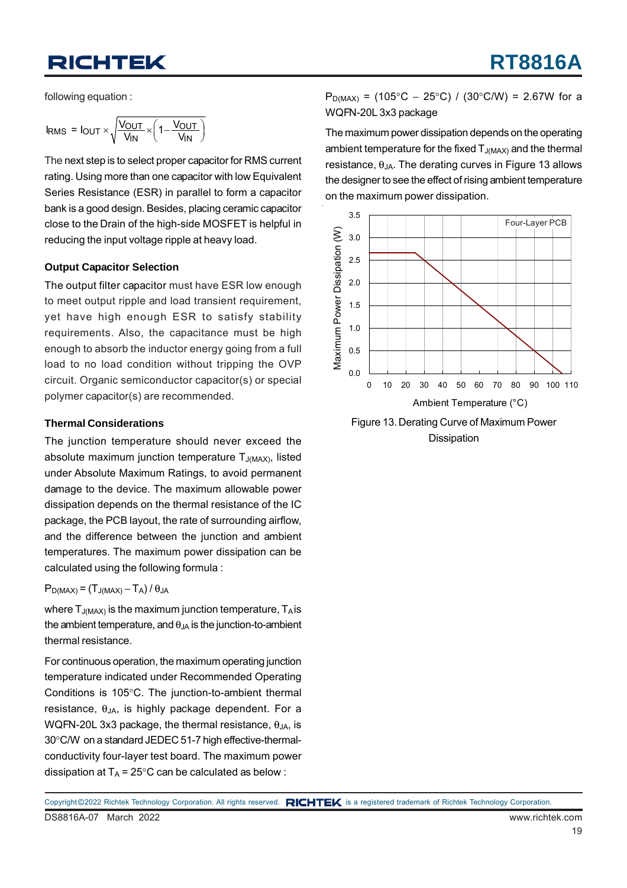following equation :

$$
I_{RMS} = I_{OUT} \times \sqrt{\frac{V_{OUT}}{V_{IN}} \times \left(1 - \frac{V_{OUT}}{V_{IN}}\right)}
$$

The next step is to select proper capacitor for RMS current rating. Using more than one capacitor with low Equivalent Series Resistance (ESR) in parallel to form a capacitor bank is a good design. Besides, placing ceramic capacitor close to the Drain of the high-side MOSFET is helpful in reducing the input voltage ripple at heavy load.

#### **Output Capacitor Selection**

The output filter capacitor must have ESR low enough to meet output ripple and load transient requirement, yet have high enough ESR to satisfy stability requirements. Also, the capacitance must be high enough to absorb the inductor energy going from a full load to no load condition without tripping the OVP circuit. Organic semiconductor capacitor(s) or special polymer capacitor(s) are recommended.

#### **Thermal Considerations**

The junction temperature should never exceed the absolute maximum junction temperature  $T_{J(MAX)}$ , listed under Absolute Maximum Ratings, to avoid permanent damage to the device. The maximum allowable power dissipation depends on the thermal resistance of the IC package, the PCB layout, the rate of surrounding airflow, and the difference between the junction and ambient temperatures. The maximum power dissipation can be calculated using the following formula :

#### $P_{D(MAX)} = (T_{J(MAX)} - T_A)/\theta_{JA}$

where  $T_{J(MAX)}$  is the maximum junction temperature,  $T_A$  is the ambient temperature, and  $\theta_{JA}$  is the junction-to-ambient thermal resistance.

For continuous operation, the maximum operating junction temperature indicated under Recommended Operating Conditions is 105°C. The junction-to-ambient thermal resistance,  $\theta_{JA}$ , is highly package dependent. For a WQFN-20L 3x3 package, the thermal resistance,  $\theta_{JA}$ , is 30°C/W on a standard JEDEC 51-7 high effective-thermalconductivity four-layer test board. The maximum power dissipation at  $T_A = 25^{\circ}$ C can be calculated as below :

 $P_{D(MAX)} = (105^{\circ}C - 25^{\circ}C) / (30^{\circ}C/W) = 2.67W$  for a WQFN-20L 3x3 package

The maximum power dissipation depends on the operating ambient temperature for the fixed  $T_{J(MAX)}$  and the thermal resistance,  $θ_{JA}$ . The derating curves in Figure 13 allows the designer to see the effect of rising ambient temperature on the maximum power dissipation.



Figure 13. Derating Curve of Maximum Power Dissipation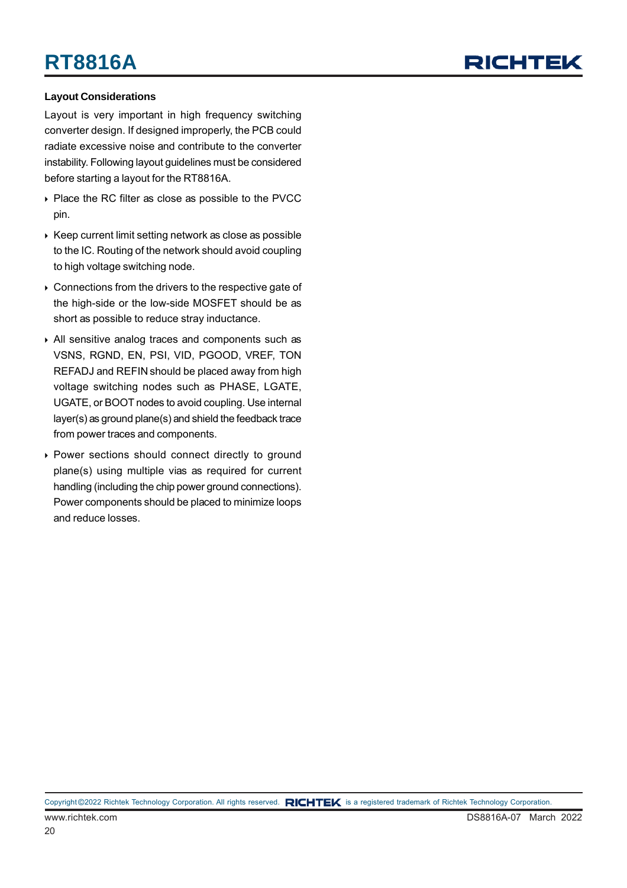## RICHTEL

#### **Layout Considerations**

Layout is very important in high frequency switching converter design. If designed improperly, the PCB could radiate excessive noise and contribute to the converter instability. Following layout guidelines must be considered before starting a layout for the RT8816A.

- ▶ Place the RC filter as close as possible to the PVCC pin.
- $\triangleright$  Keep current limit setting network as close as possible to the IC. Routing of the network should avoid coupling to high voltage switching node.
- ▶ Connections from the drivers to the respective gate of the high-side or the low-side MOSFET should be as short as possible to reduce stray inductance.
- All sensitive analog traces and components such as VSNS, RGND, EN, PSI, VID, PGOOD, VREF, TON REFADJ and REFIN should be placed away from high voltage switching nodes such as PHASE, LGATE, UGATE, or BOOT nodes to avoid coupling. Use internal layer(s) as ground plane(s) and shield the feedback trace from power traces and components.
- Power sections should connect directly to ground plane(s) using multiple vias as required for current handling (including the chip power ground connections). Power components should be placed to minimize loops and reduce losses.